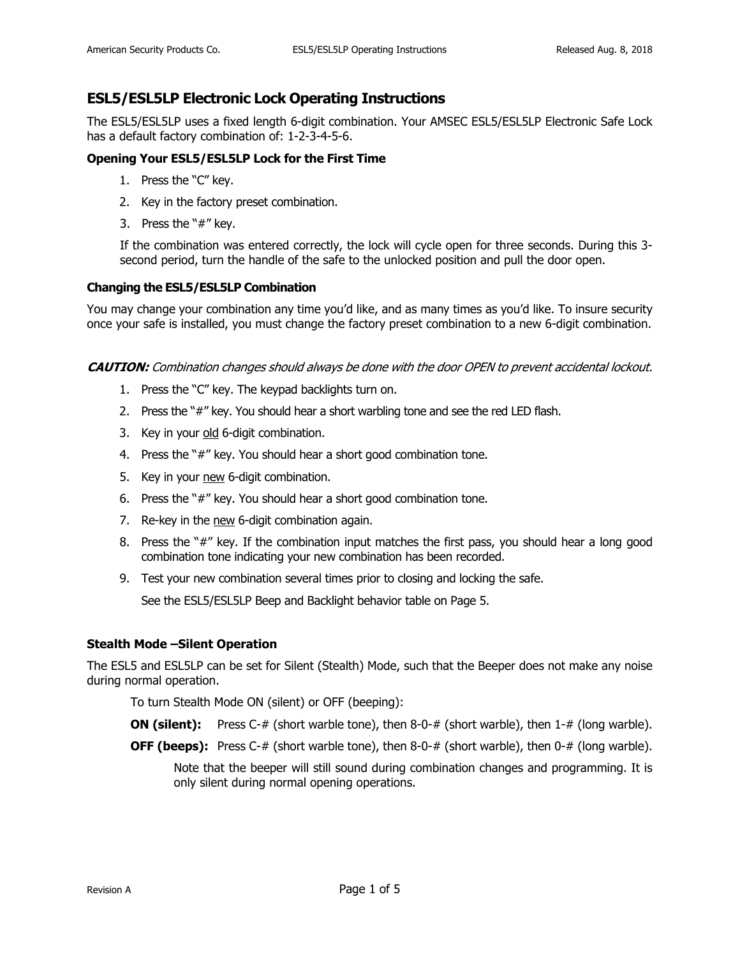# **ESL5/ESL5LP Electronic Lock Operating Instructions**

The ESL5/ESL5LP uses a fixed length 6-digit combination. Your AMSEC ESL5/ESL5LP Electronic Safe Lock has a default factory combination of: 1-2-3-4-5-6.

# **Opening Your ESL5/ESL5LP Lock for the First Time**

- 1. Press the "C" key.
- 2. Key in the factory preset combination.
- 3. Press the "#" key.

If the combination was entered correctly, the lock will cycle open for three seconds. During this 3 second period, turn the handle of the safe to the unlocked position and pull the door open.

## **Changing the ESL5/ESL5LP Combination**

You may change your combination any time you'd like, and as many times as you'd like. To insure security once your safe is installed, you must change the factory preset combination to a new 6-digit combination.

#### **CAUTION:** Combination changes should always be done with the door OPEN to prevent accidental lockout.

- 1. Press the "C" key. The keypad backlights turn on.
- 2. Press the "#" key. You should hear a short warbling tone and see the red LED flash.
- 3. Key in your old 6-digit combination.
- 4. Press the "#" key. You should hear a short good combination tone.
- 5. Key in your new 6-digit combination.
- 6. Press the "#" key. You should hear a short good combination tone.
- 7. Re-key in the new 6-digit combination again.
- 8. Press the "#" key. If the combination input matches the first pass, you should hear a long good combination tone indicating your new combination has been recorded.
- 9. Test your new combination several times prior to closing and locking the safe.

See the ESL5/ESL5LP Beep and Backlight behavior table on Page 5.

## **Stealth Mode –Silent Operation**

The ESL5 and ESL5LP can be set for Silent (Stealth) Mode, such that the Beeper does not make any noise during normal operation.

To turn Stealth Mode ON (silent) or OFF (beeping):

- **ON (silent):** Press C-# (short warble tone), then 8-0-# (short warble), then 1-# (long warble).
- **OFF (beeps):** Press C-# (short warble tone), then 8-0-# (short warble), then 0-# (long warble).

Note that the beeper will still sound during combination changes and programming. It is only silent during normal opening operations.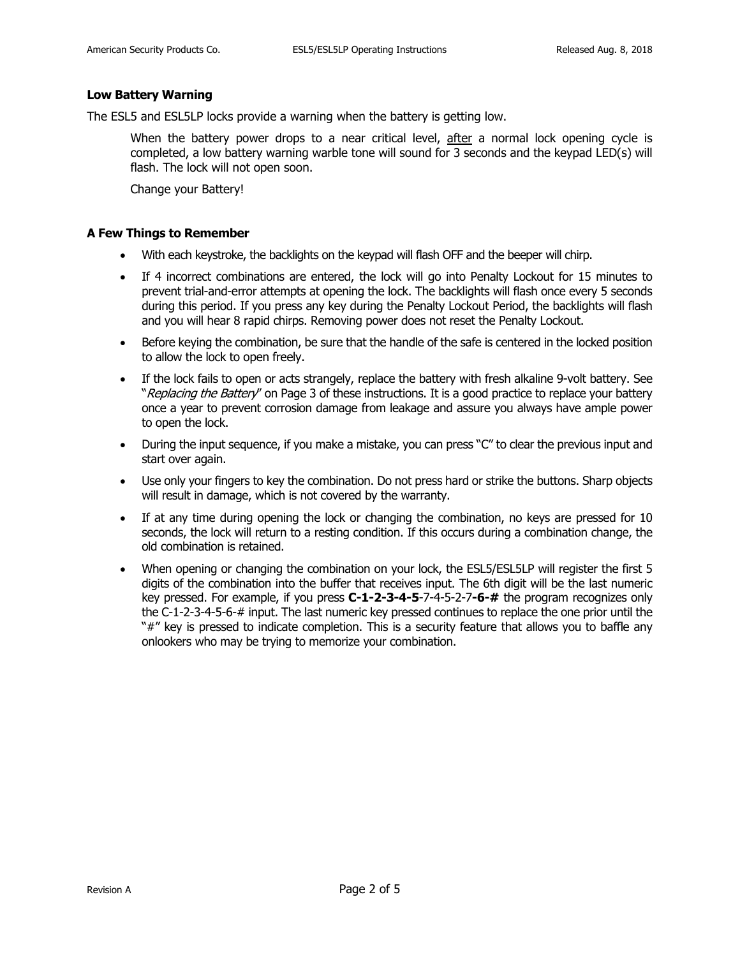#### **Low Battery Warning**

The ESL5 and ESL5LP locks provide a warning when the battery is getting low.

When the battery power drops to a near critical level, after a normal lock opening cycle is completed, a low battery warning warble tone will sound for 3 seconds and the keypad LED(s) will flash. The lock will not open soon.

Change your Battery!

#### **A Few Things to Remember**

- With each keystroke, the backlights on the keypad will flash OFF and the beeper will chirp.
- If 4 incorrect combinations are entered, the lock will go into Penalty Lockout for 15 minutes to prevent trial-and-error attempts at opening the lock. The backlights will flash once every 5 seconds during this period. If you press any key during the Penalty Lockout Period, the backlights will flash and you will hear 8 rapid chirps. Removing power does not reset the Penalty Lockout.
- Before keying the combination, be sure that the handle of the safe is centered in the locked position to allow the lock to open freely.
- If the lock fails to open or acts strangely, replace the battery with fresh alkaline 9-volt battery. See "Replacing the Battery" on Page 3 of these instructions. It is a good practice to replace your battery once a year to prevent corrosion damage from leakage and assure you always have ample power to open the lock.
- During the input sequence, if you make a mistake, you can press "C" to clear the previous input and start over again.
- Use only your fingers to key the combination. Do not press hard or strike the buttons. Sharp objects will result in damage, which is not covered by the warranty.
- If at any time during opening the lock or changing the combination, no keys are pressed for 10 seconds, the lock will return to a resting condition. If this occurs during a combination change, the old combination is retained.
- When opening or changing the combination on your lock, the ESL5/ESL5LP will register the first 5 digits of the combination into the buffer that receives input. The 6th digit will be the last numeric key pressed. For example, if you press **C-1-2-3-4-5**-7-4-5-2-7**-6-#** the program recognizes only the C-1-2-3-4-5-6-# input. The last numeric key pressed continues to replace the one prior until the "#" key is pressed to indicate completion. This is a security feature that allows you to baffle any onlookers who may be trying to memorize your combination.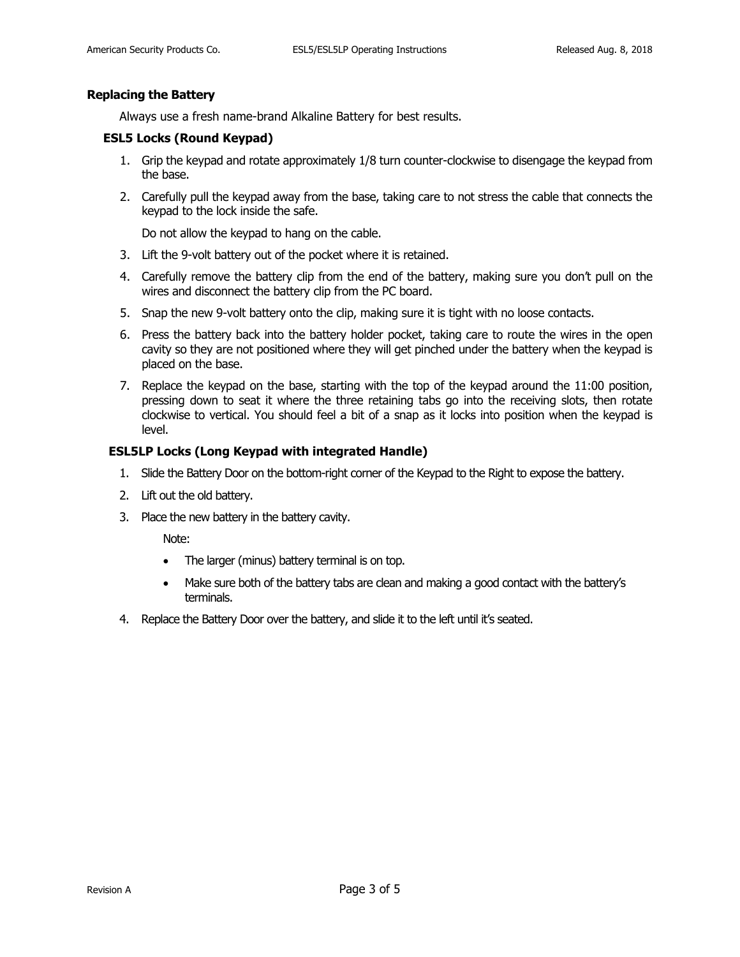#### **Replacing the Battery**

Always use a fresh name-brand Alkaline Battery for best results.

#### **ESL5 Locks (Round Keypad)**

- 1. Grip the keypad and rotate approximately 1/8 turn counter-clockwise to disengage the keypad from the base.
- 2. Carefully pull the keypad away from the base, taking care to not stress the cable that connects the keypad to the lock inside the safe.

Do not allow the keypad to hang on the cable.

- 3. Lift the 9-volt battery out of the pocket where it is retained.
- 4. Carefully remove the battery clip from the end of the battery, making sure you don't pull on the wires and disconnect the battery clip from the PC board.
- 5. Snap the new 9-volt battery onto the clip, making sure it is tight with no loose contacts.
- 6. Press the battery back into the battery holder pocket, taking care to route the wires in the open cavity so they are not positioned where they will get pinched under the battery when the keypad is placed on the base.
- 7. Replace the keypad on the base, starting with the top of the keypad around the 11:00 position, pressing down to seat it where the three retaining tabs go into the receiving slots, then rotate clockwise to vertical. You should feel a bit of a snap as it locks into position when the keypad is level.

### **ESL5LP Locks (Long Keypad with integrated Handle)**

- 1. Slide the Battery Door on the bottom-right corner of the Keypad to the Right to expose the battery.
- 2. Lift out the old battery.
- 3. Place the new battery in the battery cavity.

Note:

- The larger (minus) battery terminal is on top.
- Make sure both of the battery tabs are clean and making a good contact with the battery's terminals.
- 4. Replace the Battery Door over the battery, and slide it to the left until it's seated.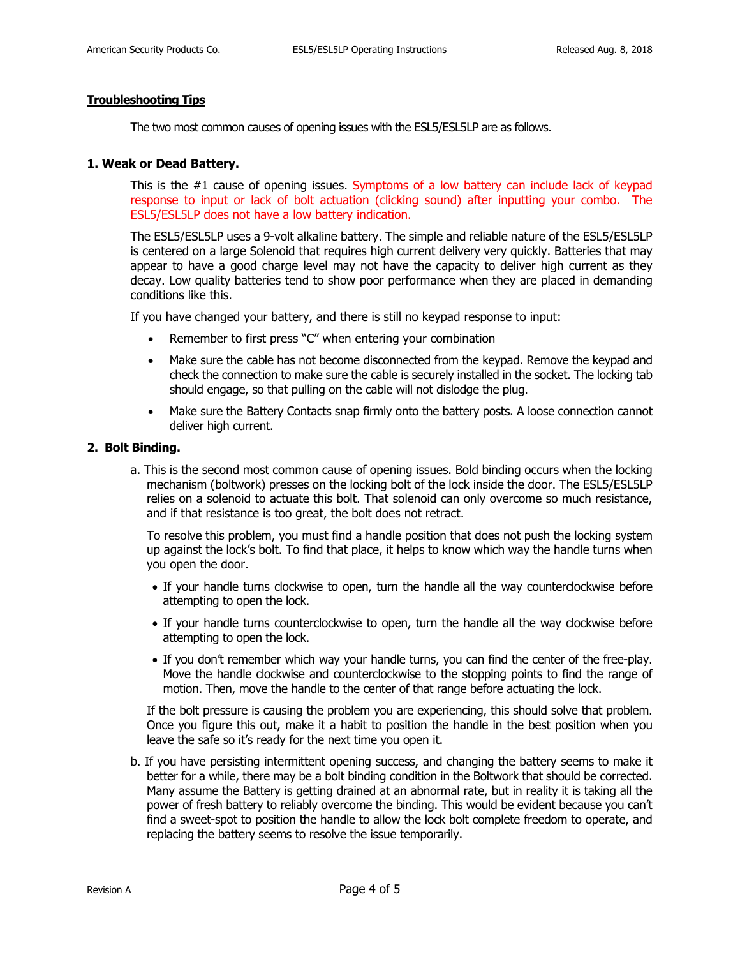### **Troubleshooting Tips**

The two most common causes of opening issues with the ESL5/ESL5LP are as follows.

#### **1. Weak or Dead Battery.**

This is the #1 cause of opening issues. Symptoms of a low battery can include lack of keypad response to input or lack of bolt actuation (clicking sound) after inputting your combo. The ESL5/ESL5LP does not have a low battery indication.

The ESL5/ESL5LP uses a 9-volt alkaline battery. The simple and reliable nature of the ESL5/ESL5LP is centered on a large Solenoid that requires high current delivery very quickly. Batteries that may appear to have a good charge level may not have the capacity to deliver high current as they decay. Low quality batteries tend to show poor performance when they are placed in demanding conditions like this.

If you have changed your battery, and there is still no keypad response to input:

- Remember to first press "C" when entering your combination
- Make sure the cable has not become disconnected from the keypad. Remove the keypad and check the connection to make sure the cable is securely installed in the socket. The locking tab should engage, so that pulling on the cable will not dislodge the plug.
- Make sure the Battery Contacts snap firmly onto the battery posts. A loose connection cannot deliver high current.

#### **2. Bolt Binding.**

a. This is the second most common cause of opening issues. Bold binding occurs when the locking mechanism (boltwork) presses on the locking bolt of the lock inside the door. The ESL5/ESL5LP relies on a solenoid to actuate this bolt. That solenoid can only overcome so much resistance, and if that resistance is too great, the bolt does not retract.

To resolve this problem, you must find a handle position that does not push the locking system up against the lock's bolt. To find that place, it helps to know which way the handle turns when you open the door.

- If your handle turns clockwise to open, turn the handle all the way counterclockwise before attempting to open the lock.
- If your handle turns counterclockwise to open, turn the handle all the way clockwise before attempting to open the lock.
- If you don't remember which way your handle turns, you can find the center of the free-play. Move the handle clockwise and counterclockwise to the stopping points to find the range of motion. Then, move the handle to the center of that range before actuating the lock.

If the bolt pressure is causing the problem you are experiencing, this should solve that problem. Once you figure this out, make it a habit to position the handle in the best position when you leave the safe so it's ready for the next time you open it.

b. If you have persisting intermittent opening success, and changing the battery seems to make it better for a while, there may be a bolt binding condition in the Boltwork that should be corrected. Many assume the Battery is getting drained at an abnormal rate, but in reality it is taking all the power of fresh battery to reliably overcome the binding. This would be evident because you can't find a sweet-spot to position the handle to allow the lock bolt complete freedom to operate, and replacing the battery seems to resolve the issue temporarily.